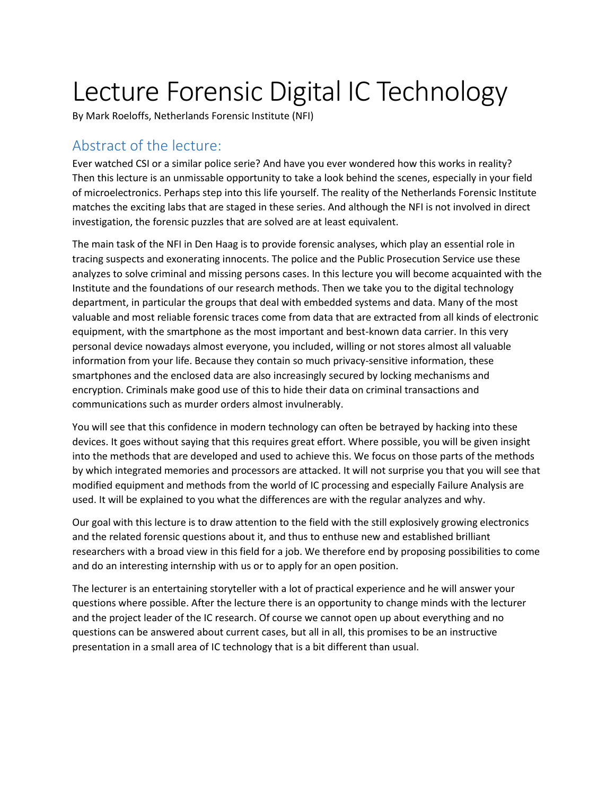## Lecture Forensic Digital IC Technology

By Mark Roeloffs, Netherlands Forensic Institute (NFI)

## Abstract of the lecture:

Ever watched CSI or a similar police serie? And have you ever wondered how this works in reality? Then this lecture is an unmissable opportunity to take a look behind the scenes, especially in your field of microelectronics. Perhaps step into this life yourself. The reality of the Netherlands Forensic Institute matches the exciting labs that are staged in these series. And although the NFI is not involved in direct investigation, the forensic puzzles that are solved are at least equivalent.

The main task of the NFI in Den Haag is to provide forensic analyses, which play an essential role in tracing suspects and exonerating innocents. The police and the Public Prosecution Service use these analyzes to solve criminal and missing persons cases. In this lecture you will become acquainted with the Institute and the foundations of our research methods. Then we take you to the digital technology department, in particular the groups that deal with embedded systems and data. Many of the most valuable and most reliable forensic traces come from data that are extracted from all kinds of electronic equipment, with the smartphone as the most important and best-known data carrier. In this very personal device nowadays almost everyone, you included, willing or not stores almost all valuable information from your life. Because they contain so much privacy-sensitive information, these smartphones and the enclosed data are also increasingly secured by locking mechanisms and encryption. Criminals make good use of this to hide their data on criminal transactions and communications such as murder orders almost invulnerably.

You will see that this confidence in modern technology can often be betrayed by hacking into these devices. It goes without saying that this requires great effort. Where possible, you will be given insight into the methods that are developed and used to achieve this. We focus on those parts of the methods by which integrated memories and processors are attacked. It will not surprise you that you will see that modified equipment and methods from the world of IC processing and especially Failure Analysis are used. It will be explained to you what the differences are with the regular analyzes and why.

Our goal with this lecture is to draw attention to the field with the still explosively growing electronics and the related forensic questions about it, and thus to enthuse new and established brilliant researchers with a broad view in this field for a job. We therefore end by proposing possibilities to come and do an interesting internship with us or to apply for an open position.

The lecturer is an entertaining storyteller with a lot of practical experience and he will answer your questions where possible. After the lecture there is an opportunity to change minds with the lecturer and the project leader of the IC research. Of course we cannot open up about everything and no questions can be answered about current cases, but all in all, this promises to be an instructive presentation in a small area of IC technology that is a bit different than usual.